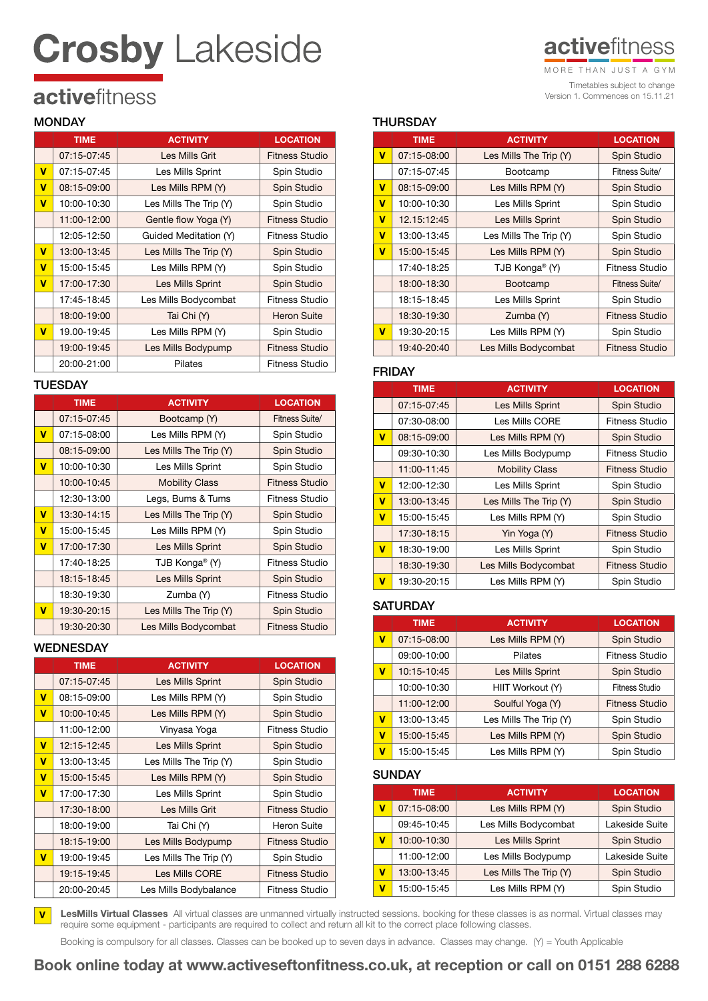# **Crosby Lakeside**

# **active**fitness

Timetables subject to change Version 1. Commences on 15.11.21 MORE THAN JUST A GYM

# activefitness

# **MONDAY**

|   | <b>TIME</b> | <b>ACTIVITY</b>         | <b>LOCATION</b>       |
|---|-------------|-------------------------|-----------------------|
|   | 07:15-07:45 | Les Mills Grit          | Fitness Studio        |
| v | 07:15-07:45 | Les Mills Sprint        | Spin Studio           |
| v | 08:15-09:00 | Les Mills RPM (Y)       | Spin Studio           |
| v | 10:00-10:30 | Les Mills The Trip (Y)  | Spin Studio           |
|   | 11:00-12:00 | Gentle flow Yoga (Y)    | <b>Fitness Studio</b> |
|   | 12:05-12:50 | Guided Meditation (Y)   | Fitness Studio        |
| v | 13:00-13:45 | Les Mills The Trip (Y)  | Spin Studio           |
| v | 15:00-15:45 | Les Mills RPM (Y)       | Spin Studio           |
| v | 17:00-17:30 | <b>Les Mills Sprint</b> | <b>Spin Studio</b>    |
|   | 17:45-18:45 | Les Mills Bodycombat    | Fitness Studio        |
|   | 18:00-19:00 | Tai Chi (Y)             | <b>Heron Suite</b>    |
| v | 19.00-19:45 | Les Mills RPM (Y)       | Spin Studio           |
|   | 19:00-19:45 | Les Mills Bodypump      | Fitness Studio        |
|   | 20:00-21:00 | Pilates                 | Fitness Studio        |

# **TUESDAY**

|   | <b>TIME</b> | <b>ACTIVITY</b>            | <b>LOCATION</b>       |
|---|-------------|----------------------------|-----------------------|
|   | 07:15-07:45 | Bootcamp (Y)               | Fitness Suite/        |
| v | 07:15-08:00 | Les Mills RPM (Y)          | Spin Studio           |
|   | 08:15-09:00 | Les Mills The Trip (Y)     | Spin Studio           |
| v | 10:00-10:30 | Les Mills Sprint           | Spin Studio           |
|   | 10:00-10:45 | <b>Mobility Class</b>      | Fitness Studio        |
|   | 12:30-13:00 | Legs, Bums & Tums          | Fitness Studio        |
| v | 13:30-14:15 | Les Mills The Trip $(Y)$   | Spin Studio           |
| v | 15:00-15:45 | Les Mills RPM (Y)          | Spin Studio           |
| v | 17:00-17:30 | Les Mills Sprint           | Spin Studio           |
|   | 17:40-18:25 | TJB Konga <sup>®</sup> (Y) | Fitness Studio        |
|   | 18:15-18:45 | Les Mills Sprint           | Spin Studio           |
|   | 18:30-19:30 | Zumba (Y)                  | Fitness Studio        |
| v | 19:30-20:15 | Les Mills The Trip (Y)     | Spin Studio           |
|   | 19:30-20:30 | Les Mills Bodycombat       | <b>Fitness Studio</b> |

# **WEDNESDAY**

|                         | <b>TIME</b> | <b>ACTIVITY</b>          | <b>LOCATION</b> |
|-------------------------|-------------|--------------------------|-----------------|
|                         | 07:15-07:45 | Les Mills Sprint         | Spin Studio     |
| v                       | 08:15-09:00 | Les Mills RPM (Y)        | Spin Studio     |
| $\overline{\mathsf{v}}$ | 10:00-10:45 | Les Mills RPM (Y)        | Spin Studio     |
|                         | 11:00-12:00 | Vinyasa Yoga             | Fitness Studio  |
| $\overline{\mathsf{v}}$ | 12:15-12:45 | Les Mills Sprint         | Spin Studio     |
| $\overline{\mathsf{v}}$ | 13:00-13:45 | Les Mills The Trip $(Y)$ | Spin Studio     |
| v                       | 15:00-15:45 | Les Mills RPM (Y)        | Spin Studio     |
| $\overline{\mathsf{v}}$ | 17:00-17:30 | Les Mills Sprint         | Spin Studio     |
|                         | 17:30-18:00 | Les Mills Grit           | Fitness Studio  |
|                         | 18:00-19:00 | Tai Chi (Y)              | Heron Suite     |
|                         | 18:15-19:00 | Les Mills Bodypump       | Fitness Studio  |
| v                       | 19:00-19:45 | Les Mills The Trip (Y)   | Spin Studio     |
|                         | 19:15-19:45 | Les Mills CORE           | Fitness Studio  |
|                         | 20:00-20:45 | Les Mills Bodybalance    | Fitness Studio  |

# **THURSDAY**

|   | <b>TIME</b> | <b>ACTIVITY</b>            | <b>LOCATION</b>       |
|---|-------------|----------------------------|-----------------------|
| v | 07:15-08:00 | Les Mills The Trip (Y)     | Spin Studio           |
|   | 07:15-07:45 | Bootcamp                   | Fitness Suite/        |
| v | 08:15-09:00 | Les Mills RPM (Y)          | Spin Studio           |
| v | 10:00-10:30 | Les Mills Sprint           | Spin Studio           |
| v | 12.15.12.45 | Les Mills Sprint           | Spin Studio           |
| v | 13:00-13:45 | Les Mills The Trip (Y)     | Spin Studio           |
| v | 15:00-15:45 | Les Mills RPM (Y)          | Spin Studio           |
|   | 17:40-18:25 | TJB Konga <sup>®</sup> (Y) | Fitness Studio        |
|   | 18:00-18:30 | Bootcamp                   | Fitness Suite/        |
|   | 18:15-18:45 | Les Mills Sprint           | Spin Studio           |
|   | 18:30-19:30 | Zumba (Y)                  | <b>Fitness Studio</b> |
| v | 19:30-20:15 | Les Mills RPM (Y)          | Spin Studio           |
|   | 19:40-20:40 | Les Mills Bodycombat       | Fitness Studio        |

# FRIDAY

|             | <b>TIME</b> | <b>ACTIVITY</b>        | <b>LOCATION</b>       |
|-------------|-------------|------------------------|-----------------------|
|             | 07:15-07:45 | Les Mills Sprint       | Spin Studio           |
|             | 07:30-08:00 | Les Mills CORE         | Fitness Studio        |
| $\mathbf v$ | 08:15-09:00 | Les Mills RPM (Y)      | Spin Studio           |
|             | 09:30-10:30 | Les Mills Bodypump     | Fitness Studio        |
|             | 11:00-11:45 | <b>Mobility Class</b>  | <b>Fitness Studio</b> |
| v           | 12:00-12:30 | Les Mills Sprint       | Spin Studio           |
| $\mathbf v$ | 13:00-13:45 | Les Mills The Trip (Y) | Spin Studio           |
| v           | 15:00-15:45 | Les Mills RPM (Y)      | Spin Studio           |
|             | 17:30-18:15 | Yin Yoga (Y)           | <b>Fitness Studio</b> |
| $\mathbf v$ | 18:30-19:00 | Les Mills Sprint       | Spin Studio           |
|             | 18:30-19:30 | Les Mills Bodycombat   | <b>Fitness Studio</b> |
| $\mathbf v$ | 19:30-20:15 | Les Mills RPM (Y)      | Spin Studio           |

# **SATURDAY**

|                         | <b>TIME</b> | <b>ACTIVITY</b>        | <b>LOCATION</b>       |
|-------------------------|-------------|------------------------|-----------------------|
| v                       | 07:15-08:00 | Les Mills RPM (Y)      | Spin Studio           |
|                         | 09:00-10:00 | Pilates                | <b>Fitness Studio</b> |
| v                       | 10:15-10:45 | Les Mills Sprint       | Spin Studio           |
|                         | 10:00-10:30 | HIIT Workout (Y)       | Fitness Studio        |
|                         | 11:00-12:00 | Soulful Yoga (Y)       | <b>Fitness Studio</b> |
| $\overline{\mathsf{v}}$ | 13:00-13:45 | Les Mills The Trip (Y) | Spin Studio           |
| $\mathbf v$             | 15:00-15:45 | Les Mills RPM (Y)      | Spin Studio           |
| $\mathbf v$             | 15:00-15:45 | Les Mills RPM (Y)      | Spin Studio           |

## **SUNDAY**

|   | <b>TIME</b> | <b>ACTIVITY</b>        | <b>LOCATION</b> |  |
|---|-------------|------------------------|-----------------|--|
| v | 07:15-08:00 | Les Mills RPM (Y)      | Spin Studio     |  |
|   | 09:45-10:45 | Les Mills Bodycombat   | Lakeside Suite  |  |
| v | 10:00-10:30 | Les Mills Sprint       | Spin Studio     |  |
|   | 11:00-12:00 | Les Mills Bodypump     | Lakeside Suite  |  |
| v | 13:00-13:45 | Les Mills The Trip (Y) | Spin Studio     |  |
| v | 15:00-15:45 | Les Mills RPM (Y)      | Spin Studio     |  |

LesMills Virtual Classes All virtual classes are unmanned virtually instructed sessions. booking for these classes is as normal. Virtual classes may require some equipment - participants are required to collect and return all kit to the correct place following classes. V

Booking is compulsory for all classes. Classes can be booked up to seven days in advance. Classes may change. (Y) = Youth Applicable

Book online today at www.activeseftonfitness.co.uk, at reception or call on 0151 288 6288